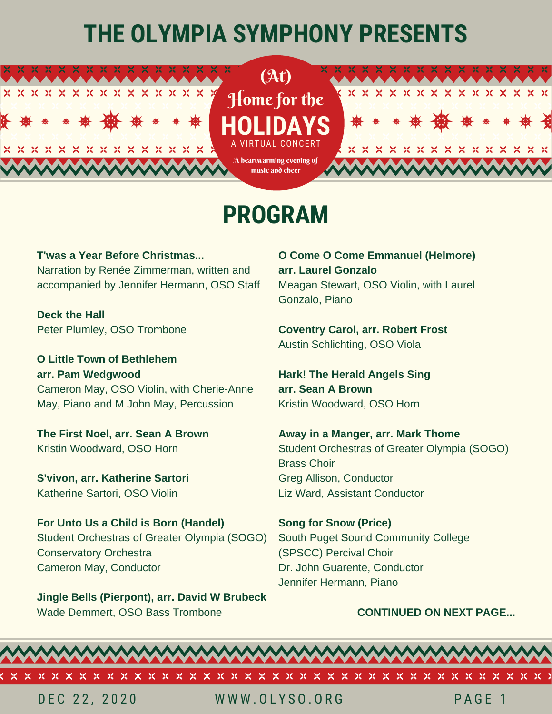# **THE OLYMPIA SYMPHONY PRESENTS**



## **PROGRAM**

**T'was a Year Before Christmas...** Narration by Renée Zimmerman, written and accompanied by Jennifer Hermann, OSO Staff

**Deck the Hall** Peter Plumley, OSO Trombone

**O Little Town of Bethlehem arr. Pam Wedgwood** Cameron May, OSO Violin, with Cherie-Anne May, Piano and M John May, Percussion

**The First Noel, arr. Sean A Brown** Kristin Woodward, OSO Horn

**S'vivon, arr. Katherine Sartori** Katherine Sartori, OSO Violin

**For Unto Us a Child is Born (Handel)** Student Orchestras of Greater Olympia (SOGO) Conservatory Orchestra Cameron May, Conductor

**Jingle Bells (Pierpont), arr. David W Brubeck** Wade Demmert, OSO Bass Trombone

**O Come O Come Emmanuel (Helmore) arr. Laurel Gonzalo** Meagan Stewart, OSO Violin, with Laurel Gonzalo, Piano

**Coventry Carol, arr. Robert Frost** Austin Schlichting, OSO Viola

**Hark! The Herald Angels Sing arr. Sean A Brown** Kristin Woodward, OSO Horn

**Away in a Manger, arr. Mark Thome** Student Orchestras of Greater Olympia (SOGO) Brass Choir Greg Allison, Conductor Liz Ward, Assistant Conductor

**Song for Snow (Price)** South Puget Sound Community College (SPSCC) Percival Choir Dr. John Guarente, Conductor Jennifer Hermann, Piano

#### **CONTINUED ON NEXT PAGE...**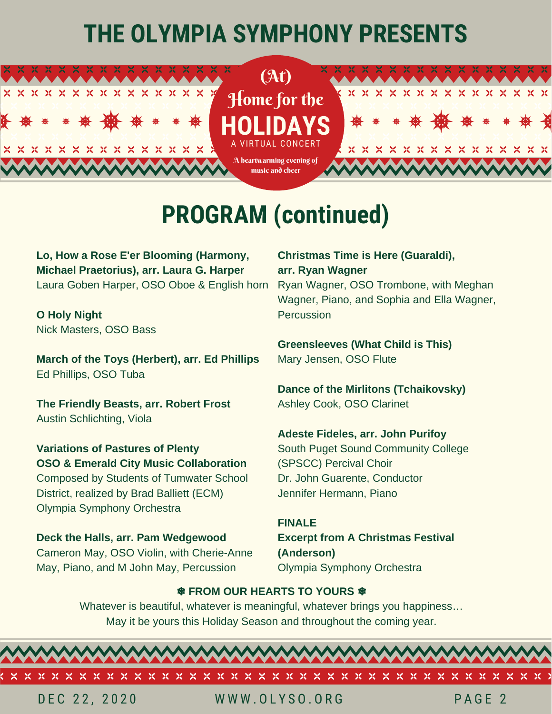# **THE OLYMPIA SYMPHONY PRESENTS**



## **PROGRAM (continued)**

**Lo, How a Rose E'er Blooming (Harmony, Michael Praetorius), arr. Laura G. Harper** Laura Goben Harper, OSO Oboe & English horn

**O Holy Night** Nick Masters, OSO Bass

**March of the Toys (Herbert), arr. Ed Phillips** Ed Phillips, OSO Tuba

**The Friendly Beasts, arr. Robert Frost** Austin Schlichting, Viola

**Variations of Pastures of Plenty OSO & Emerald City Music Collaboration** Composed by Students of Tumwater School District, realized by Brad Balliett (ECM) Olympia Symphony Orchestra

**Deck the Halls, arr. Pam Wedgewood** Cameron May, OSO Violin, with Cherie-Anne May, Piano, and M John May, Percussion

### **Christmas Time is Here (Guaraldi), arr. Ryan Wagner**

Ryan Wagner, OSO Trombone, with Meghan Wagner, Piano, and Sophia and Ella Wagner, Percussion

**Greensleeves (What Child is This)** Mary Jensen, OSO Flute

**Dance of the Mirlitons (Tchaikovsky)** Ashley Cook, OSO Clarinet

**Adeste Fideles, arr. John Purifoy** South Puget Sound Community College (SPSCC) Percival Choir

Dr. John Guarente, Conductor Jennifer Hermann, Piano

**FINALE Excerpt from A Christmas Festival (Anderson)** Olympia Symphony Orchestra

### ❄ **FROM OUR HEARTS TO YOURS** ❄

Whatever is beautiful, whatever is meaningful, whatever brings you happiness… May it be yours this Holiday Season and throughout the coming year.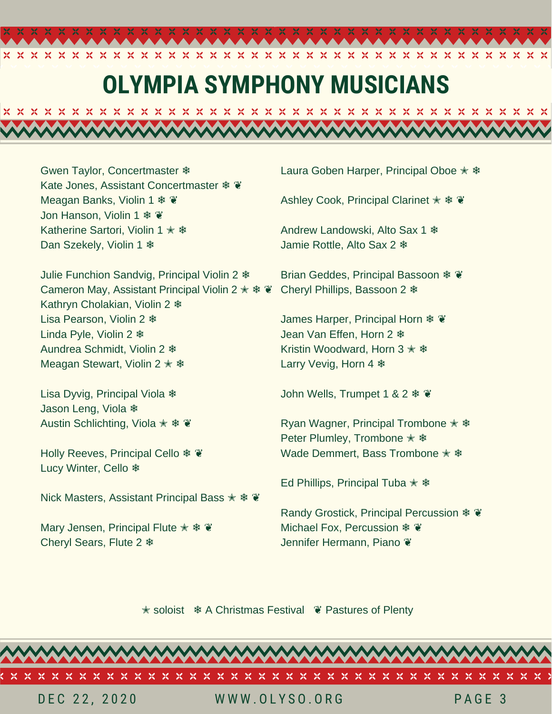## **OLYMPIA SYMPHONY MUSICIANS**

Gwen Taylor, Concertmaster ❄ Kate Jones, Assistant Concertmaster \* ¥ Meagan Banks, Violin 1 **※** Jon Hanson, Violin 1 ❄ ❦ Katherine Sartori, Violin 1  $★$ Dan Szekely, Violin 1 **\*** 

Julie Funchion Sandvig, Principal Violin 2 ❄ Cameron May, Assistant Principal Violin 2  $\ast \ast \ast$ Kathryn Cholakian, Violin 2 ❄ Lisa Pearson, Violin 2 ❄ Linda Pyle, Violin 2 ❄ Aundrea Schmidt, Violin 2 ❄ Meagan Stewart, Violin 2  $\ast$   $\ast$ 

Lisa Dyvig, Principal Viola ❄ Jason Leng, Viola ❄ Austin Schlichting, Viola  $\hat{\mathbf{z}}$  **\***  $\hat{\mathbf{z}}$ 

Holly Reeves, Principal Cello  $*$ Lucy Winter, Cello ❄

Nick Masters, Assistant Principal Bass  $\ast \ast \ast$ 

Mary Jensen, Principal Flute  $\ast \ast \ast$ Cheryl Sears, Flute 2 ❄

Laura Goben Harper, Principal Oboe  $\ast \ast$ 

Ashley Cook, Principal Clarinet  $\angle$  **\***  $\degree$ 

Andrew Landowski, Alto Sax 1 ❄ Jamie Rottle, Alto Sax 2 ❄

Brian Geddes, Principal Bassoon ❄ ❦ Cheryl Phillips, Bassoon 2 ❄

James Harper, Principal Horn \*  $\cdot$ Jean Van Effen, Horn 2 ❄ Kristin Woodward, Horn 3  $\ast$   $\ast$ Larry Vevig, Horn 4 ❄

John Wells, Trumpet 1 & 2 ❄ ❦

Ryan Wagner, Principal Trombone  $\ast$   $\ast$ Peter Plumley, Trombone  $*$  \* Wade Demmert, Bass Trombone  $\ast$   $\ast$ 

Ed Phillips, Principal Tuba  $\ast \ast$ 

Randy Grostick, Principal Percussion ❄ ❦ Michael Fox, Percussion  $\mathscr{X}$ Jennifer Hermann, Piano  $\ddot{\mathbf{v}}$ 

✭ soloist ❄ A Christmas Festival ❦ Pastures of Plenty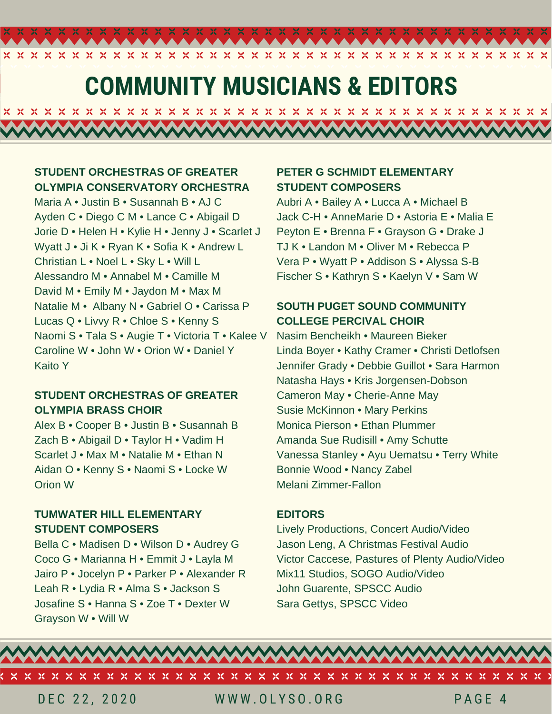## **COMMUNITY MUSICIANS & EDITORS**

 $\infty$ 

 $X$   $X$   $X$ 

 $\infty$  $\chi$  $\chi$  $\mathbf{\chi}$ 

x

<u>MAAAMAAAMAAAMAAAMAAAMAA</u>

**STUDENT ORCHESTRAS OF GREATER OLYMPIA CONSERVATORY ORCHESTRA**

X  $\mathbf{\chi}$  X X  $\chi$  $\propto$  $\propto$  $\infty$ 

Maria A • Justin B • Susannah B • AJ C Ayden C • Diego C M • Lance C • Abigail D Jorie D • Helen H • Kylie H • Jenny J • Scarlet J Wyatt J • Ji K • Ryan K • Sofia K • Andrew L Christian L • Noel L • Sky L • Will L Alessandro M • Annabel M • Camille M David M • Emily M • Jaydon M • Max M Natalie M • Albany N • Gabriel O • Carissa P Lucas Q • Livvy R • Chloe S • Kenny S Naomi S • Tala S • Augie T • Victoria T • Kalee V Caroline W • John W • Orion W • Daniel Y Kaito Y

#### **STUDENT ORCHESTRAS OF GREATER OLYMPIA BRASS CHOIR**

Alex B • Cooper B • Justin B • Susannah B Zach B • Abigail D • Taylor H • Vadim H Scarlet J • Max M • Natalie M • Ethan N Aidan O • Kenny S • Naomi S • Locke W Orion W

#### **TUMWATER HILL ELEMENTARY STUDENT COMPOSERS**

Bella C • Madisen D • Wilson D • Audrey G Coco G • Marianna H • Emmit J • Layla M Jairo P • Jocelyn P • Parker P • Alexander R Leah R • Lydia R • Alma S • Jackson S Josafine S • Hanna S • Zoe T • Dexter W Grayson W • Will W

### **PETER G SCHMIDT ELEMENTARY STUDENT COMPOSERS**

Aubri A • Bailey A • Lucca A • Michael B Jack C-H • AnneMarie D • Astoria E • Malia E Peyton E • Brenna F • Grayson G • Drake J TJ K • Landon M • Oliver M • Rebecca P Vera P • Wyatt P • Addison S • Alyssa S-B Fischer S • Kathryn S • Kaelyn V • Sam W

 $\infty$ X

### **SOUTH PUGET SOUND COMMUNITY COLLEGE PERCIVAL CHOIR**

Nasim Bencheikh • Maureen Bieker Linda Boyer • Kathy Cramer • Christi Detlofsen Jennifer Grady • Debbie Guillot • Sara Harmon Natasha Hays • Kris Jorgensen-Dobson Cameron May • Cherie-Anne May Susie McKinnon • Mary Perkins Monica Pierson • Ethan Plummer Amanda Sue Rudisill • Amy Schutte Vanessa Stanley • Ayu Uematsu • Terry White Bonnie Wood • Nancy Zabel Melani Zimmer-Fallon

#### **EDITORS**

Lively Productions, Concert Audio/Video Jason Leng, A Christmas Festival Audio Victor Caccese, Pastures of Plenty Audio/Video Mix11 Studios, SOGO Audio/Video John Guarente, SPSCC Audio Sara Gettys, SPSCC Video